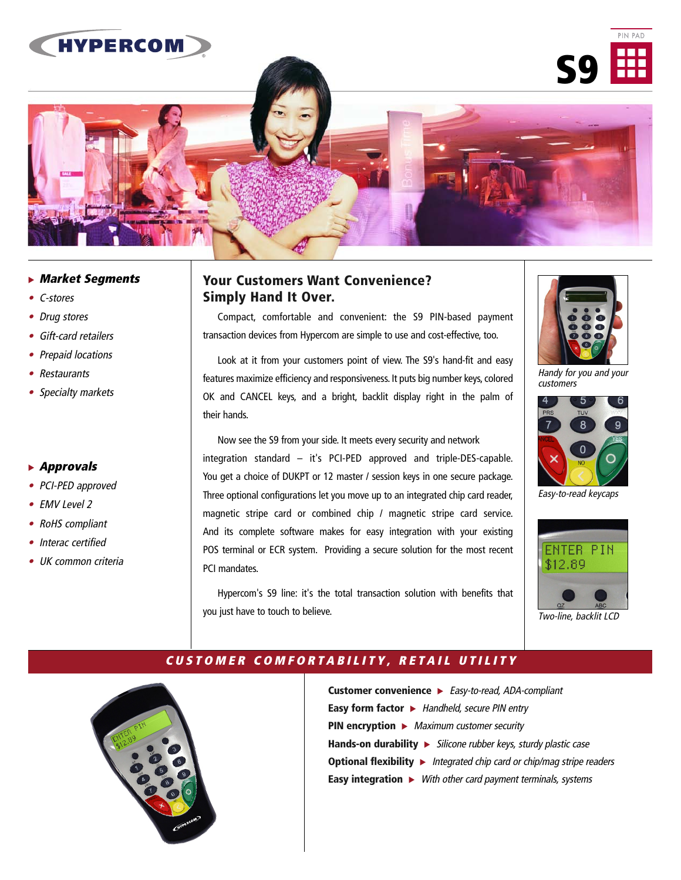

## - **Market Segments**

- C-stores
- Drug stores
- Gift-card retailers
- Prepaid locations
- Restaurants
- Specialty markets

#### - **Approvals**

- PCI-PED approved
- EMV Level 2
- RoHS compliant
- Interac certified
- UK common criteria

## **Your Customers Want Convenience? Simply Hand It Over.**

Compact, comfortable and convenient: the S9 PIN-based payment transaction devices from Hypercom are simple to use and cost-effective, too.

Look at it from your customers point of view. The S9's hand-fit and easy features maximize efficiency and responsiveness. It puts big number keys, colored OK and CANCEL keys, and a bright, backlit display right in the palm of their hands.

Now see the S9 from your side. It meets every security and network integration standard – it's PCI-PED approved and triple-DES-capable. You get a choice of DUKPT or 12 master / session keys in one secure package. Three optional configurations let you move up to an integrated chip card reader, magnetic stripe card or combined chip / magnetic stripe card service. And its complete software makes for easy integration with your existing POS terminal or ECR system. Providing a secure solution for the most recent PCI mandates.

Hypercom's S9 line: it's the total transaction solution with benefits that you just have to touch to believe.



Handy for you and your customers



Easy-to-read keycaps



Two-line, backlit LCD



## **UNSURPASSED FUNCTIONALITY. USER-FRIENDLY FEATURES. CUSTOMER COMFORTABILITY, RETAIL UTILITY**

**Customer convenience ►** Easy-to-read, ADA-compliant **Easy form factor >** Handheld, secure PIN entry **PIN encryption ►** Maximum customer security Hands-on durability > Silicone rubber keys, sturdy plastic case **Optional flexibility ►** Integrated chip card or chip/mag stripe readers **Easy integration >** With other card payment terminals, systems